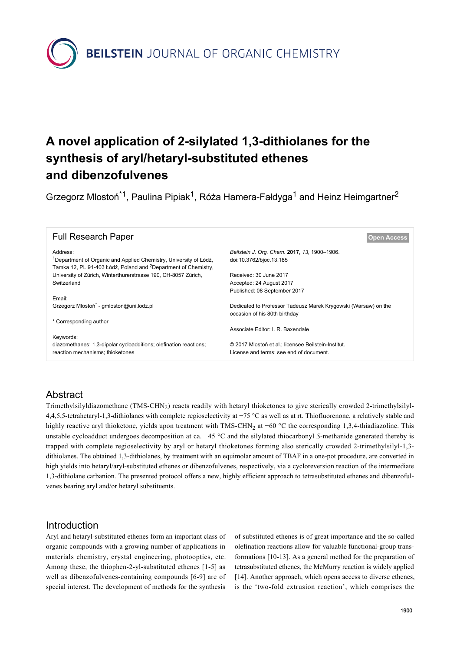**BEILSTEIN** JOURNAL OF ORGANIC CHEMISTRY

# **A novel application of 2-silylated 1,3-dithiolanes for the synthesis of aryl/hetaryl-substituted ethenes and dibenzofulvenes**

Grzegorz Mlostoń<sup>\*1</sup>, Paulina Pipiak<sup>1</sup>, Róża Hamera-Fałdyga<sup>1</sup> and Heinz Heimgartner<sup>2</sup>

| <b>Full Research Paper</b>                                                                                                                                  | <b>Open Access</b>                                             |  |  |  |  |
|-------------------------------------------------------------------------------------------------------------------------------------------------------------|----------------------------------------------------------------|--|--|--|--|
| Address:                                                                                                                                                    | Beilstein J. Org. Chem. 2017, 13, 1900–1906.                   |  |  |  |  |
| <sup>1</sup> Department of Organic and Applied Chemistry, University of Łódź,<br>Tamka 12, PL 91-403 Łódź, Poland and <sup>2</sup> Department of Chemistry, | doi:10.3762/bjoc.13.185                                        |  |  |  |  |
| University of Zürich, Winterthurerstrasse 190, CH-8057 Zürich,                                                                                              | Received: 30 June 2017                                         |  |  |  |  |
| Switzerland                                                                                                                                                 | Accepted: 24 August 2017                                       |  |  |  |  |
|                                                                                                                                                             | Published: 08 September 2017                                   |  |  |  |  |
| Email:                                                                                                                                                      |                                                                |  |  |  |  |
| Grzegorz Mlostoń <sup>*</sup> - gmloston@uni.lodz.pl                                                                                                        | Dedicated to Professor Tadeusz Marek Krygowski (Warsaw) on the |  |  |  |  |
|                                                                                                                                                             | occasion of his 80th birthday                                  |  |  |  |  |
| * Corresponding author                                                                                                                                      |                                                                |  |  |  |  |
|                                                                                                                                                             | Associate Editor: I. R. Baxendale                              |  |  |  |  |
| Keywords:                                                                                                                                                   |                                                                |  |  |  |  |
| diazomethanes; 1,3-dipolar cycloadditions; olefination reactions;                                                                                           | © 2017 Mlostoń et al.; licensee Beilstein-Institut.            |  |  |  |  |
| reaction mechanisms; thioketones                                                                                                                            | License and terms: see end of document.                        |  |  |  |  |

# **Abstract**

Trimethylsilyldiazomethane (TMS-CHN2) reacts readily with hetaryl thioketones to give sterically crowded 2-trimethylsilyl-4,4,5,5-tetrahetaryl-1,3-dithiolanes with complete regioselectivity at −75 °C as well as at rt. Thiofluorenone, a relatively stable and highly reactive aryl thioketone, yields upon treatment with TMS-CHN<sub>2</sub> at −60 °C the corresponding 1,3,4-thiadiazoline. This unstable cycloadduct undergoes decomposition at ca. −45 °C and the silylated thiocarbonyl *S*-methanide generated thereby is trapped with complete regioselectivity by aryl or hetaryl thioketones forming also sterically crowded 2-trimethylsilyl-1,3 dithiolanes. The obtained 1,3-dithiolanes, by treatment with an equimolar amount of TBAF in a one-pot procedure, are converted in high yields into hetaryl/aryl-substituted ethenes or dibenzofulvenes, respectively, via a cycloreversion reaction of the intermediate 1,3-dithiolane carbanion. The presented protocol offers a new, highly efficient approach to tetrasubstituted ethenes and dibenzofulvenes bearing aryl and/or hetaryl substituents.

# Introduction

Aryl and hetaryl-substituted ethenes form an important class of organic compounds with a growing number of applications in materials chemistry, crystal engineering, photooptics, etc. Among these, the thiophen-2-yl-substituted ethenes [\[1-5\]](#page-5-0) as well as dibenzofulvenes-containing compounds [\[6-9\]](#page-5-1) are of special interest. The development of methods for the synthesis

of substituted ethenes is of great importance and the so-called olefination reactions allow for valuable functional-group transformations [\[10-13\]](#page-6-0). As a general method for the preparation of tetrasubstituted ethenes, the McMurry reaction is widely applied [\[14\].](#page-6-1) Another approach, which opens access to diverse ethenes, is the 'two-fold extrusion reaction', which comprises the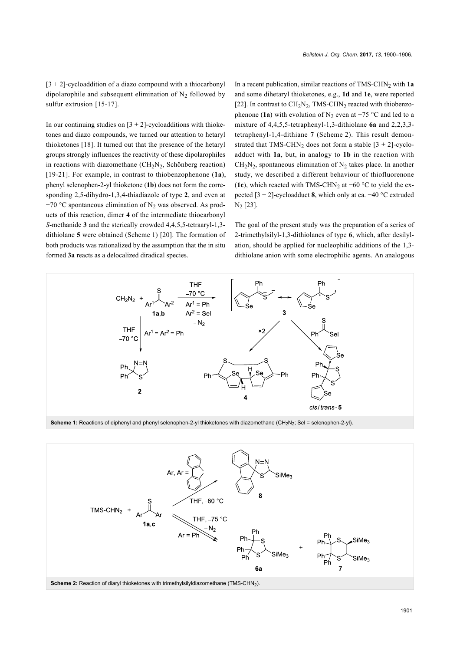$[3 + 2]$ -cycloaddition of a diazo compound with a thiocarbonyl dipolarophile and subsequent elimination of  $N_2$  followed by sulfur extrusion [\[15-17\]](#page-6-2).

In our continuing studies on  $[3 + 2]$ -cycloadditions with thioketones and diazo compounds, we turned our attention to hetaryl thioketones [\[18\]](#page-6-3). It turned out that the presence of the hetaryl groups strongly influences the reactivity of these dipolarophiles in reactions with diazomethane  $(CH_2N_2,$  Schönberg reaction) [\[19-21\]](#page-6-4). For example, in contrast to thiobenzophenone (**1a**), phenyl selenophen-2-yl thioketone (**1b**) does not form the corresponding 2,5-dihydro-1,3,4-thiadiazole of type **2**, and even at  $-70$  °C spontaneous elimination of N<sub>2</sub> was observed. As products of this reaction, dimer **4** of the intermediate thiocarbonyl *S-*methanide **3** and the sterically crowded 4,4,5,5-tetraaryl-1,3 dithiolane **5** were obtained ([Scheme 1](#page-1-0)) [\[20\]](#page-6-5). The formation of both products was rationalized by the assumption that the in situ formed **3a** reacts as a delocalized diradical species.

In a recent publication, similar reactions of TMS-CHN<sub>2</sub> with 1a and some dihetaryl thioketones, e.g., **1d** and **1e**, were reported [\[22\].](#page-6-6) In contrast to  $CH<sub>2</sub>N<sub>2</sub>$ , TMS-CHN<sub>2</sub> reacted with thiobenzophenone (**1a**) with evolution of N<sub>2</sub> even at  $-75$  °C and led to a mixture of 4,4,5,5-tetraphenyl-1,3-dithiolane **6a** and 2,2,3,3 tetraphenyl-1,4-dithiane **7** ([Scheme 2\)](#page-1-1). This result demonstrated that TMS-CHN<sub>2</sub> does not form a stable  $[3 + 2]$ -cycloadduct with **1a**, but, in analogy to **1b** in the reaction with  $CH<sub>2</sub>N<sub>2</sub>$ , spontaneous elimination of N<sub>2</sub> takes place. In another study, we described a different behaviour of thiofluorenone (**1c**), which reacted with TMS-CHN<sub>2</sub> at −60 °C to yield the expected [3 + 2]-cycloadduct **8**, which only at ca. −40 °C extruded N<sup>2</sup> [\[23\]](#page-6-7).

The goal of the present study was the preparation of a series of 2-trimethylsilyl-1,3-dithiolanes of type **6**, which, after desilylation, should be applied for nucleophilic additions of the 1,3 dithiolane anion with some electrophilic agents. An analogous

<span id="page-1-0"></span>

<span id="page-1-1"></span>**Scheme 1:** Reactions of diphenyl and phenyl selenophen-2-yl thioketones with diazomethane (CH<sub>2</sub>N<sub>2</sub>; Sel = selenophen-2-yl).

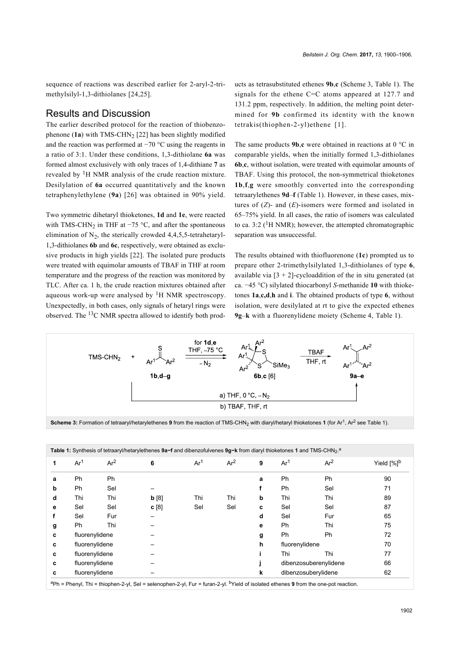sequence of reactions was described earlier for 2-aryl-2-trimethylsilyl-1,3-dithiolanes [\[24,25\]](#page-6-8).

#### Results and Discussion

The earlier described protocol for the reaction of thiobenzophenone  $(1a)$  with TMS-CHN<sub>2</sub> [\[22\]](#page-6-6) has been slightly modified and the reaction was performed at −70 °C using the reagents in a ratio of 3:1. Under these conditions, 1,3-dithiolane **6a** was formed almost exclusively with only traces of 1,4-dithiane **7** as revealed by  ${}^{1}$ H NMR analysis of the crude reaction mixture. Desilylation of **6a** occurred quantitatively and the known tetraphenylethylene (**9a**) [\[26\]](#page-6-9) was obtained in 90% yield.

Two symmetric dihetaryl thioketones, **1d** and **1e**, were reacted with TMS-CHN<sub>2</sub> in THF at  $-75$  °C, and after the spontaneous elimination of  $N_2$ , the sterically crowded 4,4,5,5-tetrahetaryl-1,3-dithiolanes **6b** and **6c**, respectively, were obtained as exclusive products in high yields [\[22\]](#page-6-6). The isolated pure products were treated with equimolar amounts of TBAF in THF at room temperature and the progress of the reaction was monitored by TLC. After ca. 1 h, the crude reaction mixtures obtained after aqueous work-up were analysed by  ${}^{1}H$  NMR spectroscopy. Unexpectedly, in both cases, only signals of hetaryl rings were observed. The 13C NMR spectra allowed to identify both products as tetrasubstituted ethenes **9b**,**c** ([Scheme 3,](#page-2-1) [Table 1](#page-2-0)). The signals for the ethene C=C atoms appeared at 127.7 and 131.2 ppm, respectively. In addition, the melting point determined for **9b** confirmed its identity with the known tetrakis(thiophen-2-yl)ethene [\[1\]](#page-5-0).

The same products **9b**,**c** were obtained in reactions at 0 °C in comparable yields, when the initially formed 1,3-dithiolanes **6b**,**c**, without isolation, were treated with equimolar amounts of TBAF. Using this protocol, the non-symmetrical thioketones **1b**,**f**,**g** were smoothly converted into the corresponding tetraarylethenes **9d**–**f** ([Table 1\)](#page-2-0). However, in these cases, mixtures of (*Z*)- and (*E*)-isomers were formed and isolated in 65–75% yield. In all cases, the ratio of isomers was calculated to ca. 3:2 ( ${}^{1}$ H NMR); however, the attempted chromatographic separation was unsuccessful.

The results obtained with thiofluorenone (**1c**) prompted us to prepare other 2-trimethylsilylated 1,3-dithiolanes of type **6**, available via  $[3 + 2]$ -cycloaddition of the in situ generated (at ca. −45 °C) silylated thiocarbonyl *S*-methanide **10** with thioketones **1a**,**c,d**,**h** and **i**. The obtained products of type **6**, without isolation, were desilylated at rt to give the expected ethenes **9g**–**k** with a fluorenylidene moiety ([Scheme 4](#page-3-0), [Table 1\)](#page-2-0).

<span id="page-2-1"></span>

Scheme 3: Formation of tetraaryl/hetarylethenes **9** from the reaction of TMS-CHN<sub>2</sub> with diaryl/hetaryl thioketones **1** (for Ar<sup>1</sup>, Ar<sup>2</sup> see [Table 1\)](#page-2-0).

<span id="page-2-0"></span>

| 1 | Ar <sup>1</sup> | Ar <sup>2</sup> | 6    | Ar <sup>1</sup> | Ar <sup>2</sup> | 9 | Ar <sup>1</sup>       | Ar <sup>2</sup> | Yield [%] <sup>b</sup> |
|---|-----------------|-----------------|------|-----------------|-----------------|---|-----------------------|-----------------|------------------------|
| a | Ph              | Ph              |      |                 |                 | a | Ph                    | Ph              | 90                     |
| b | <b>Ph</b>       | Sel             |      |                 |                 |   | <b>Ph</b>             | Sel             | 71                     |
| d | Thi             | Thi             | b[8] | Thi             | Thi             | b | Thi                   | Thi             | 89                     |
| е | Sel             | Sel             | c[8] | Sel             | Sel             | c | Sel                   | Sel             | 87                     |
|   | Sel             | Fur             |      |                 |                 | d | Sel                   | Fur             | 65                     |
| g | Ph              | Thi             |      |                 |                 | е | <b>Ph</b>             | Thi             | 75                     |
| c | fluorenylidene  |                 |      |                 |                 | g | Ph                    | Ph              | 72                     |
| c | fluorenylidene  |                 |      |                 |                 | h | fluorenylidene        |                 | 70                     |
| c | fluorenylidene  |                 |      |                 |                 |   | Thi                   | Thi             | 77                     |
| C | fluorenylidene  |                 |      |                 |                 |   | dibenzosuberenylidene |                 | 66                     |
| c | fluorenylidene  |                 |      |                 |                 | k | dibenzosuberylidene   |                 | 62                     |

<sup>a</sup>Ph = Phenyl, Thi = thiophen-2-yl, Sel = selenophen-2-yl, Fur = furan-2-yl. bYield of isolated ethenes **9** from the one-pot reaction.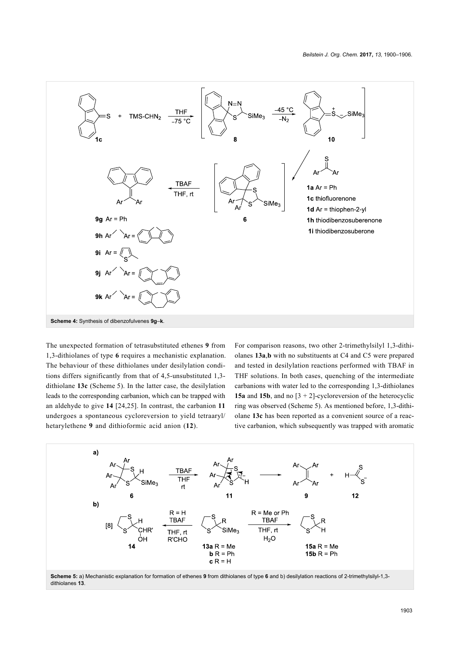<span id="page-3-0"></span>

The unexpected formation of tetrasubstituted ethenes **9** from 1,3-dithiolanes of type **6** requires a mechanistic explanation. The behaviour of these dithiolanes under desilylation conditions differs significantly from that of 4,5-unsubstituted 1,3 dithiolane **13c** ([Scheme 5](#page-3-1)). In the latter case, the desilylation leads to the corresponding carbanion, which can be trapped with an aldehyde to give **14** [\[24,25\].](#page-6-8) In contrast, the carbanion **11** undergoes a spontaneous cycloreversion to yield tetraaryl/ hetarylethene **9** and dithioformic acid anion (**12**).

For comparison reasons, two other 2-trimethylsilyl 1,3-dithiolanes **13a**,**b** with no substituents at C4 and C5 were prepared and tested in desilylation reactions performed with TBAF in THF solutions. In both cases, quenching of the intermediate carbanions with water led to the corresponding 1,3-dithiolanes **15a** and **15b**, and no [3 + 2]-cycloreversion of the heterocyclic ring was observed ([Scheme 5\)](#page-3-1). As mentioned before, 1,3-dithiolane **13c** has been reported as a convenient source of a reactive carbanion, which subsequently was trapped with aromatic

<span id="page-3-1"></span>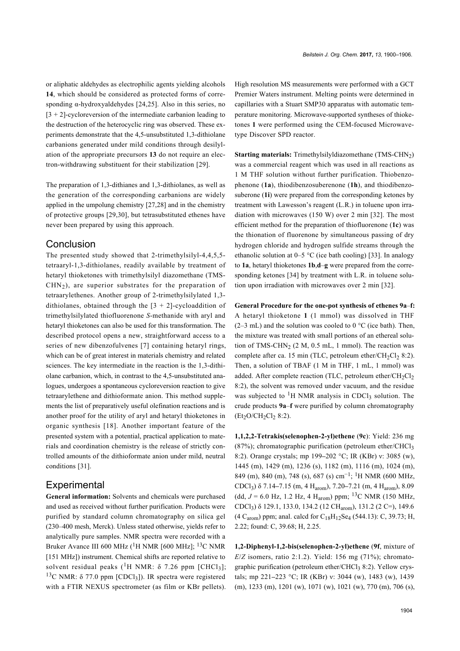or aliphatic aldehydes as electrophilic agents yielding alcohols **14**, which should be considered as protected forms of corresponding α-hydroxyaldehydes [\[24,25\]](#page-6-8). Also in this series, no  $[3 + 2]$ -cycloreversion of the intermediate carbanion leading to the destruction of the heterocyclic ring was observed. These experiments demonstrate that the 4,5-unsubstituted 1,3-dithiolane carbanions generated under mild conditions through desilylation of the appropriate precursors **13** do not require an electron-withdrawing substituent for their stabilization [\[29\]](#page-6-10).

The preparation of 1,3-dithianes and 1,3-dithiolanes, as well as the generation of the corresponding carbanions are widely applied in the umpolung chemistry [\[27,28\]](#page-6-11) and in the chemistry of protective groups [\[29,30\]](#page-6-10), but tetrasubstituted ethenes have never been prepared by using this approach.

#### **Conclusion**

The presented study showed that 2-trimethylsilyl-4,4,5,5 tetraaryl-1,3-dithiolanes, readily available by treatment of hetaryl thioketones with trimethylsilyl diazomethane (TMS- $CHN<sub>2</sub>$ ), are superior substrates for the preparation of tetraarylethenes. Another group of 2-trimethylsilylated 1,3 dithiolanes, obtained through the  $[3 + 2]$ -cycloaddition of trimethylsilylated thiofluorenone *S*-methanide with aryl and hetaryl thioketones can also be used for this transformation. The described protocol opens a new, straightforward access to a series of new dibenzofulvenes [\[7\]](#page-5-3) containing hetaryl rings, which can be of great interest in materials chemistry and related sciences. The key intermediate in the reaction is the 1,3-dithiolane carbanion, which, in contrast to the 4,5-unsubstituted analogues, undergoes a spontaneous cycloreversion reaction to give tetraarylethene and dithioformate anion. This method supplements the list of preparatively useful olefination reactions and is another proof for the utility of aryl and hetaryl thioketones in organic synthesis [\[18\]](#page-6-3). Another important feature of the presented system with a potential, practical application to materials and coordination chemistry is the release of strictly controlled amounts of the dithioformate anion under mild, neutral conditions [\[31\]](#page-6-12).

### **Experimental**

**General information:** Solvents and chemicals were purchased and used as received without further purification. Products were purified by standard column chromatography on silica gel (230–400 mesh, Merck). Unless stated otherwise, yields refer to analytically pure samples. NMR spectra were recorded with a Bruker Avance III 600 MHz (<sup>1</sup>H NMR [600 MHz]; <sup>13</sup>C NMR [151 MHz]) instrument. Chemical shifts are reported relative to solvent residual peaks  $(^1H \text{ NMR}: \delta \text{ } 7.26 \text{ ppm } [\text{CHCl}_3];$ <sup>13</sup>C NMR: δ 77.0 ppm [CDCl<sub>3</sub>]). IR spectra were registered with a FTIR NEXUS spectrometer (as film or KBr pellets). High resolution MS measurements were performed with a GCT Premier Waters instrument. Melting points were determined in capillaries with a Stuart SMP30 apparatus with automatic temperature monitoring. Microwave-supported syntheses of thioketones **1** were performed using the CEM-focused Microwavetype Discover SPD reactor.

**Starting materials:** Trimethylsilyldiazomethane (TMS-CHN2) was a commercial reagent which was used in all reactions as 1 M THF solution without further purification. Thiobenzophenone (**1a**), thiodibenzosuberenone (**1h**), and thiodibenzosuberone (**1i**) were prepared from the corresponding ketones by treatment with Lawesson's reagent (L.R.) in toluene upon irradiation with microwaves (150 W) over 2 min [\[32\].](#page-6-13) The most efficient method for the preparation of thiofluorenone (**1c**) was the thionation of fluorenone by simultaneous passing of dry hydrogen chloride and hydrogen sulfide streams through the ethanolic solution at  $0-5$  °C (ice bath cooling) [\[33\].](#page-6-14) In analogy to **1a**, hetaryl thioketones **1b**,**d**–**g** were prepared from the corresponding ketones [\[34\]](#page-6-15) by treatment with L.R. in toluene solution upon irradiation with microwaves over 2 min [\[32\].](#page-6-13)

**General Procedure for the one-pot synthesis of ethenes 9a**–**f:** A hetaryl thioketone **1** (1 mmol) was dissolved in THF  $(2-3$  mL) and the solution was cooled to 0 °C (ice bath). Then, the mixture was treated with small portions of an ethereal solution of TMS-CHN<sub>2</sub> (2 M, 0.5 mL, 1 mmol). The reaction was complete after ca. 15 min (TLC, petroleum ether/CH<sub>2</sub>Cl<sub>2</sub> 8:2). Then, a solution of TBAF (1 M in THF, 1 mL, 1 mmol) was added. After complete reaction (TLC, petroleum ether/CH<sub>2</sub>Cl<sub>2</sub> 8:2), the solvent was removed under vacuum, and the residue was subjected to <sup>1</sup>H NMR analysis in CDCl<sub>3</sub> solution. The crude products **9a**–**f** were purified by column chromatography  $(Et_2O/CH_2Cl_2 8:2)$ .

**1,1,2,2-Tetrakis(selenophen-2-yl)ethene** (**9c**): Yield: 236 mg  $(87%)$ ; chromatographic purification (petroleum ether/CHCl<sub>3</sub>) 8:2). Orange crystals; mp 199**–**202 °C; IR (KBr) ν: 3085 (w), 1445 (m), 1429 (m), 1236 (s), 1182 (m), 1116 (m), 1024 (m), 849 (m), 840 (m), 748 (s), 687 (s) cm<sup>-1</sup>; <sup>1</sup>H NMR (600 MHz, CDCl<sup>3</sup> ) δ 7.14**–**7.15 (m, 4 Harom), 7.20**–**7.21 (m, 4 Harom), 8.09 (dd,  $J = 6.0$  Hz, 1.2 Hz, 4 H<sub>arom</sub>) ppm; <sup>13</sup>C NMR (150 MHz, CDCl<sub>3</sub>) δ 129.1, 133.0, 134.2 (12 CH<sub>arom</sub>), 131.2 (2 C=), 149.6  $(4 C_{\text{arom}})$  ppm; anal. calcd for  $C_{18}H_{12}Se_4$  (544.13): C, 39.73; H, 2.22; found: C, 39.68; H, 2.25.

**1,2-Diphenyl-1,2-bis(selenophen-2-yl)ethene** (**9f**, mixture of  $E/Z$  isomers, ratio 2:1.2). Yield: 156 mg  $(71\%)$ ; chromatographic purification (petroleum ether/CHCl<sub>3</sub> 8:2). Yellow crystals; mp 221**–**223 °C; IR (KBr) ν: 3044 (w), 1483 (w), 1439 (m), 1233 (m), 1201 (w), 1071 (w), 1021 (w), 770 (m), 706 (s),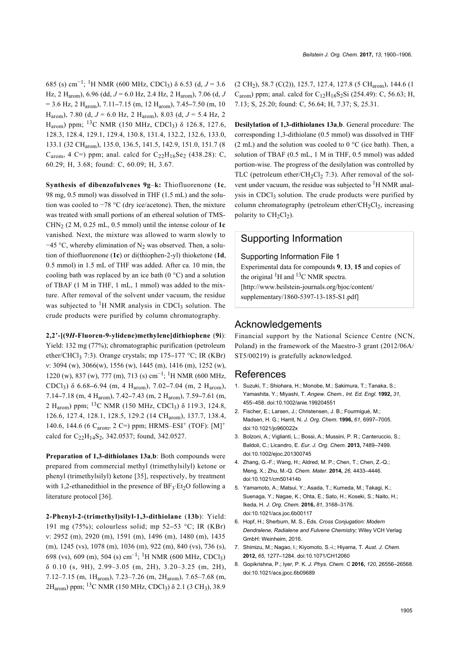685 (s) cm−<sup>1</sup> ; 1H NMR (600 MHz, CDCl3) δ 6.53 (d, *J* = 3.6 Hz, 2 Harom), 6.96 (dd, *J* = 6.0 Hz, 2.4 Hz, 2 Harom), 7.06 (d, *J* = 3.6 Hz, 2 Harom), 7.11**–**7.15 (m, 12 Harom), 7.45**–**7.50 (m, 10 H<sub>arom</sub>), 7.80 (d,  $J = 6.0$  Hz, 2 H<sub>arom</sub>), 8.03 (d,  $J = 5.4$  Hz, 2 H<sub>arom</sub>) ppm; <sup>13</sup>C NMR (150 MHz, CDCl<sub>3</sub>) δ 126.8, 127.6, 128.3, 128.4, 129.1, 129.4, 130.8, 131.4, 132.2, 132.6, 133.0, 133.1 (32 CHarom), 135.0, 136.5, 141.5, 142.9, 151.0, 151.7 (8  $C_{\text{arom}}$ , 4 C=) ppm; anal. calcd for  $C_{22}H_{16}Se_2$  (438.28): C, 60.29; H, 3.68; found: C, 60.09; H, 3.67.

**Synthesis of dibenzofulvenes 9g**–**k:** Thiofluorenone (**1c**, 98 mg, 0.5 mmol) was dissolved in THF (1.5 mL) and the solution was cooled to −78 °C (dry ice/acetone). Then, the mixture was treated with small portions of an ethereal solution of TMS-CHN<sub>2</sub> (2 M, 0.25 mL, 0.5 mmol) until the intense colour of  $1c$ vanished. Next, the mixture was allowed to warm slowly to  $-45$  °C, whereby elimination of N<sub>2</sub> was observed. Then, a solution of thiofluorenone (**1c**) or di(thiophen-2-yl) thioketone (**1d**, 0.5 mmol) in 1.5 mL of THF was added. After ca. 10 min, the cooling bath was replaced by an ice bath  $(0 \degree C)$  and a solution of TBAF (1 M in THF, 1 mL, 1 mmol) was added to the mixture. After removal of the solvent under vacuum, the residue was subjected to  ${}^{1}$ H NMR analysis in CDCl<sub>3</sub> solution. The crude products were purified by column chromatography.

**2,2'-[(9***H***-Fluoren-9-ylidene)methylene]dithiophene** (**9i**): Yield: 132 mg (77%); chromatographic purification (petroleum ether/CHCl3 7:3). Orange crystals; mp 175**–**177 °C; IR (KBr) ν: 3094 (w), 3066(w), 1556 (w), 1445 (m), 1416 (m), 1252 (w), 1220 (w), 837 (w), 777 (m), 713 (s) cm−<sup>1</sup> ; 1H NMR (600 MHz, CDCl3) δ 6.68**–**6.94 (m, 4 Harom), 7.02**–**7.04 (m, 2 Harom), 7.14**–**7.18 (m, 4 Harom), 7.42**–**7.43 (m, 2 Harom), 7.59**–**7.61 (m, 2 H<sub>arom</sub>) ppm; <sup>13</sup>C NMR (150 MHz, CDCl<sub>3</sub>) δ 119.3, 124.8, 126.6, 127.4, 128.1, 128.5, 129.2 (14 CHarom), 137.7, 138.4, 140.6, 144.6 (6  $C_{\text{arom}}$ , 2 C=) ppm; HRMS–ESI<sup>+</sup> (TOF): [M]<sup>+</sup> calcd for  $C_{22}H_{14}S_{2}$ , 342.0537; found, 342.0527.

**Preparation of 1,3-dithiolanes 13a**,**b**: Both compounds were prepared from commercial methyl (trimethylsilyl) ketone or phenyl (trimethylsilyl) ketone [\[35\]](#page-6-16), respectively, by treatment with 1,2-ethanedithiol in the presence of  $BF_3$   $Et_2O$  following a literature protocol [\[36\]](#page-6-17).

**2-Phenyl-2-(trimethyl)silyl-1,3-dithiolane** (**13b**): Yield: 191 mg (75%); colourless solid; mp 52**–**53 °C; IR (KBr) ν: 2952 (m), 2920 (m), 1591 (m), 1496 (m), 1480 (m), 1435 (m), 1245 (vs), 1078 (m), 1036 (m), 922 (m), 840 (vs), 736 (s), 698 (vs), 609 (m), 504 (s) cm<sup>-1</sup>; <sup>1</sup>H NMR (600 MHz, CDCl<sub>3</sub>) δ 0.10 (s, 9H), 2.99–3.05 (m, 2H), 3.20–3.25 (m, 2H), 7.12–7.15 (m, 1Harom), 7.23–7.26 (m, 2Harom), 7.65–7.68 (m, 2H<sub>arom</sub>) ppm; <sup>13</sup>C NMR (150 MHz, CDCl<sub>3</sub>) δ 2.1 (3 CH<sub>3</sub>), 38.9

 $(2 \text{ CH}_2)$ , 58.7  $(C(2))$ , 125.7, 127.4, 127.8 (5 CH<sub>arom</sub>), 144.6 (1  $C_{\text{arom}}$ ) ppm; anal. calcd for  $C_{12}H_{18}S_2Si$  (254.49): C, 56.63; H, 7.13; S, 25.20; found: C, 56.64; H, 7.37; S, 25.31.

**Desilylation of 1,3-dithiolanes 13a**,**b**. General procedure: The corresponding 1,3-dithiolane (0.5 mmol) was dissolved in THF (2 mL) and the solution was cooled to  $0^{\circ}$ C (ice bath). Then, a solution of TBAF (0.5 mL, 1 M in THF, 0.5 mmol) was added portion-wise. The progress of the desilylation was controlled by TLC (petroleum ether/CH<sub>2</sub>Cl<sub>2</sub> 7:3). After removal of the solvent under vacuum, the residue was subjected to  ${}^{1}H$  NMR analysis in CDCl<sub>3</sub> solution. The crude products were purified by column chromatography (petroleum ether/ $CH<sub>2</sub>Cl<sub>2</sub>$ , increasing polarity to  $CH<sub>2</sub>Cl<sub>2</sub>$ ).

## Supporting Information

Supporting Information File 1

Experimental data for compounds **9**, **13**, **15** and copies of the original  ${}^{1}$ H and  ${}^{13}$ C NMR spectra. [\[http://www.beilstein-journals.org/bjoc/content/](http://www.beilstein-journals.org/bjoc/content/supplementary/1860-5397-13-185-S1.pdf) [supplementary/1860-5397-13-185-S1.pdf\]](http://www.beilstein-journals.org/bjoc/content/supplementary/1860-5397-13-185-S1.pdf)

#### Acknowledgements

Financial support by the National Science Centre (NCN, Poland) in the framework of the Maestro-3 grant (2012/06A/ ST5/00219) is gratefully acknowledged.

### References

- <span id="page-5-0"></span>1. Suzuki, T.; Shiohara, H.; Monobe, M.; Sakimura, T.; Tanaka, S.; Yamashita, Y.; Miyashi, T. *Angew. Chem., Int. Ed. Engl.* **1992,** *31,* 455–458. [doi:10.1002/anie.199204551](https://doi.org/10.1002%2Fanie.199204551)
- 2. Fischer, E.; Larsen, J.; Christensen, J. B.; Fourmigué, M.; Madsen, H. G.; Harrit, N. *J. Org. Chem.* **1996,** *61,* 6997–7005. [doi:10.1021/jo960022x](https://doi.org/10.1021%2Fjo960022x)
- 3. Bolzoni, A.; Viglianti, L.; Bossi, A.; Mussini, P. R.; Canteruccio, S.; Baldoli, C.; Licandro, E. *Eur. J. Org. Chem.* **2013,** 7489–7499. [doi:10.1002/ejoc.201300745](https://doi.org/10.1002%2Fejoc.201300745)
- 4. Zhang, G.-F.; Wang, H.; Aldred, M. P.; Chen, T.; Chen, Z.-Q.; Meng, X.; Zhu, M.-Q. *Chem. Mater.* **2014,** *26,* 4433–4446. [doi:10.1021/cm501414b](https://doi.org/10.1021%2Fcm501414b)
- 5. Yamamoto, A.; Matsui, Y.; Asada, T.; Kumeda, M.; Takagi, K.; Suenaga, Y.; Nagae, K.; Ohta, E.; Sato, H.; Koseki, S.; Naito, H.; Ikeda, H. *J. Org. Chem.* **2016,** *81,* 3168–3176. [doi:10.1021/acs.joc.6b00117](https://doi.org/10.1021%2Facs.joc.6b00117)
- <span id="page-5-1"></span>6. Hopf, H.; Sherburn, M. S., Eds. *Cross Conjugation: Modern Dendralene, Radialene and Fulvene Chemistry;* Wiley VCH Verlag GmbH: Weinheim, 2016.
- <span id="page-5-3"></span>7. Shimizu, M.; Nagao, I.; Kiyomoto, S.-i.; Hiyama, T. *Aust. J. Chem.* **2012,** *65,* 1277–1284. [doi:10.1071/CH12060](https://doi.org/10.1071%2FCH12060)
- <span id="page-5-2"></span>8. Gopikrishna, P.; Iyer, P. K. *J. Phys. Chem. C* **2016,** *120,* 26556–26568. [doi:10.1021/acs.jpcc.6b09689](https://doi.org/10.1021%2Facs.jpcc.6b09689)